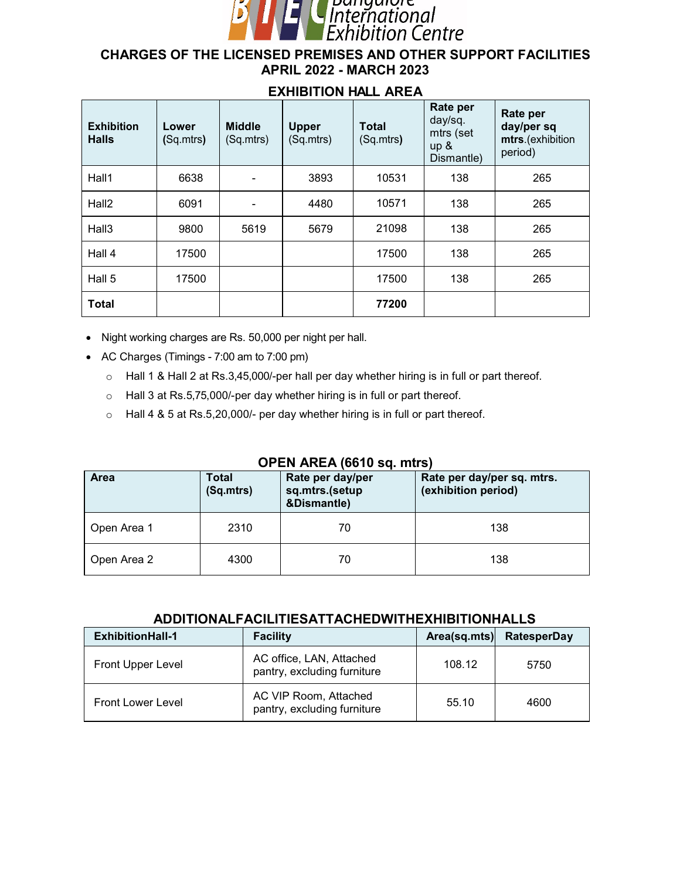

## **CHARGES OF THE LICENSED PREMISES AND OTHER SUPPORT FACILITIES APRIL 2022 - MARCH 2023**

| <b>Exhibition</b><br><b>Halls</b> | Lower<br>(Sq.mtrs) | <b>Middle</b><br>(Sq.mtrs) | <b>Upper</b><br>(Sq.mtrs) | <b>Total</b><br>(Sq.mtrs) | Rate per<br>day/sq.<br>mtrs (set<br>up &<br>Dismantle) | Rate per<br>day/per sq<br>mtrs.(exhibition<br>period) |
|-----------------------------------|--------------------|----------------------------|---------------------------|---------------------------|--------------------------------------------------------|-------------------------------------------------------|
| Hall1                             | 6638               |                            | 3893                      | 10531                     | 138                                                    | 265                                                   |
| Hall2                             | 6091               |                            | 4480                      | 10571                     | 138                                                    | 265                                                   |
| Hall3                             | 9800               | 5619                       | 5679                      | 21098                     | 138                                                    | 265                                                   |
| Hall 4                            | 17500              |                            |                           | 17500                     | 138                                                    | 265                                                   |
| Hall 5                            | 17500              |                            |                           | 17500                     | 138                                                    | 265                                                   |
| <b>Total</b>                      |                    |                            |                           | 77200                     |                                                        |                                                       |

## **EXHIBITION HALL AREA**

• Night working charges are Rs. 50,000 per night per hall.

- AC Charges (Timings 7:00 am to 7:00 pm)
	- o Hall 1 & Hall 2 at Rs.3,45,000/-per hall per day whether hiring is in full or part thereof.
	- o Hall 3 at Rs.5,75,000/-per day whether hiring is in full or part thereof.
	- o Hall 4 & 5 at Rs.5,20,000/- per day whether hiring is in full or part thereof.

### **OPEN AREA (6610 sq. mtrs)**

| <b>Area</b> | Total<br>(Sq.mtrs) | Rate per day/per<br>sq.mtrs.(setup<br>&Dismantle) | Rate per day/per sq. mtrs.<br>(exhibition period) |
|-------------|--------------------|---------------------------------------------------|---------------------------------------------------|
| Open Area 1 | 2310               | 70                                                | 138                                               |
| Open Area 2 | 4300               | 70                                                | 138                                               |

## **ADDITIONALFACILITIESATTACHEDWITHEXHIBITIONHALLS**

| <b>ExhibitionHall-1</b> | <b>Facility</b>                                         |        | Area(sq.mts) RatesperDay |
|-------------------------|---------------------------------------------------------|--------|--------------------------|
| Front Upper Level       | AC office, LAN, Attached<br>pantry, excluding furniture | 108.12 | 5750                     |
| Front Lower Level       | AC VIP Room, Attached<br>pantry, excluding furniture    | 55.10  | 4600                     |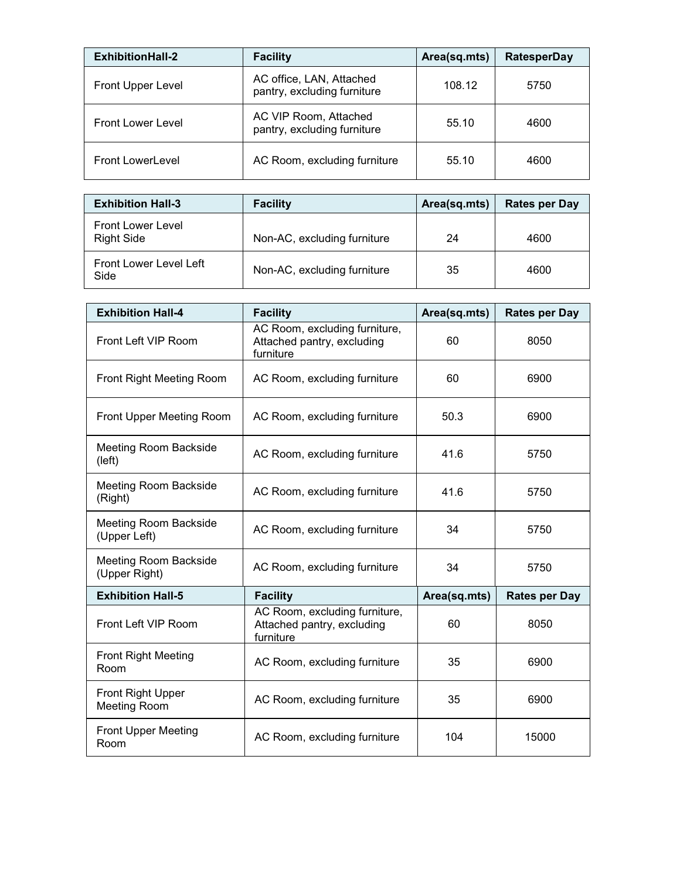| <b>ExhibitionHall-2</b>  | <b>Facility</b>                                         | Area(sq.mts) | <b>RatesperDay</b> |
|--------------------------|---------------------------------------------------------|--------------|--------------------|
| Front Upper Level        | AC office, LAN, Attached<br>pantry, excluding furniture | 108.12       | 5750               |
| <b>Front Lower Level</b> | AC VIP Room, Attached<br>pantry, excluding furniture    | 55.10        | 4600               |
| <b>Front LowerLevel</b>  | AC Room, excluding furniture                            | 55.10        | 4600               |

| <b>Exhibition Hall-3</b>               | <b>Facility</b>             | Area(sq.mts) | <b>Rates per Day</b> |
|----------------------------------------|-----------------------------|--------------|----------------------|
| <b>Front Lower Level</b><br>Right Side | Non-AC, excluding furniture | 24           | 4600                 |
| Front Lower Level Left<br>Side         | Non-AC, excluding furniture | 35           | 4600                 |

| <b>Exhibition Hall-4</b>                      | <b>Facility</b>                                                          | Area(sq.mts) | <b>Rates per Day</b> |
|-----------------------------------------------|--------------------------------------------------------------------------|--------------|----------------------|
| Front Left VIP Room                           | AC Room, excluding furniture,<br>Attached pantry, excluding<br>furniture | 60           | 8050                 |
| Front Right Meeting Room                      | AC Room, excluding furniture                                             | 60           | 6900                 |
| Front Upper Meeting Room                      | AC Room, excluding furniture                                             | 50.3         | 6900                 |
| <b>Meeting Room Backside</b><br>(left)        | AC Room, excluding furniture                                             | 41.6         | 5750                 |
| <b>Meeting Room Backside</b><br>(Right)       | AC Room, excluding furniture                                             | 41.6         | 5750                 |
| <b>Meeting Room Backside</b><br>(Upper Left)  | AC Room, excluding furniture                                             | 34           | 5750                 |
| <b>Meeting Room Backside</b><br>(Upper Right) | AC Room, excluding furniture                                             | 34           | 5750                 |
| <b>Exhibition Hall-5</b>                      | <b>Facility</b>                                                          | Area(sq.mts) | <b>Rates per Day</b> |
| Front Left VIP Room                           | AC Room, excluding furniture,<br>Attached pantry, excluding<br>furniture | 60           | 8050                 |
| <b>Front Right Meeting</b><br>Room            | AC Room, excluding furniture                                             | 35           | 6900                 |
| <b>Front Right Upper</b><br>Meeting Room      | AC Room, excluding furniture                                             | 35           | 6900                 |
| <b>Front Upper Meeting</b><br>Room            | AC Room, excluding furniture                                             | 104          | 15000                |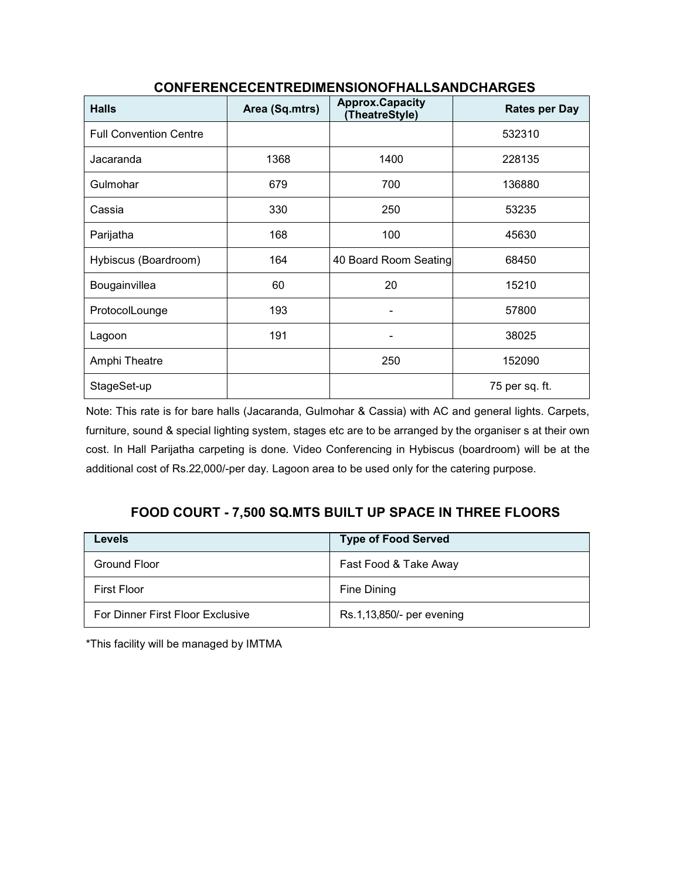| <b>Halls</b>                  | Area (Sq.mtrs) | <b>Approx.Capacity</b><br>(TheatreStyle) | <b>Rates per Day</b> |
|-------------------------------|----------------|------------------------------------------|----------------------|
| <b>Full Convention Centre</b> |                |                                          | 532310               |
| Jacaranda                     | 1368           | 1400                                     | 228135               |
| Gulmohar                      | 679            | 700                                      | 136880               |
| Cassia                        | 330            | 250                                      | 53235                |
| Parijatha                     | 168            | 100                                      | 45630                |
| Hybiscus (Boardroom)          | 164            | 40 Board Room Seating                    | 68450                |
| Bougainvillea                 | 60             | 20                                       | 15210                |
| ProtocolLounge                | 193            |                                          | 57800                |
| Lagoon                        | 191            |                                          | 38025                |
| Amphi Theatre                 |                | 250                                      | 152090               |
| StageSet-up                   |                |                                          | 75 per sq. ft.       |

## **CONFERENCECENTREDIMENSIONOFHALLSANDCHARGES**

Note: This rate is for bare halls (Jacaranda, Gulmohar & Cassia) with AC and general lights. Carpets, furniture, sound & special lighting system, stages etc are to be arranged by the organiser s at their own cost. In Hall Parijatha carpeting is done. Video Conferencing in Hybiscus (boardroom) will be at the additional cost of Rs.22,000/-per day. Lagoon area to be used only for the catering purpose.

# **FOOD COURT - 7,500 SQ.MTS BUILT UP SPACE IN THREE FLOORS**

| <b>Levels</b>                    | <b>Type of Food Served</b> |
|----------------------------------|----------------------------|
| Ground Floor                     | Fast Food & Take Away      |
| <b>First Floor</b>               | Fine Dining                |
| For Dinner First Floor Exclusive | Rs.1,13,850/- per evening  |

\*This facility will be managed by IMTMA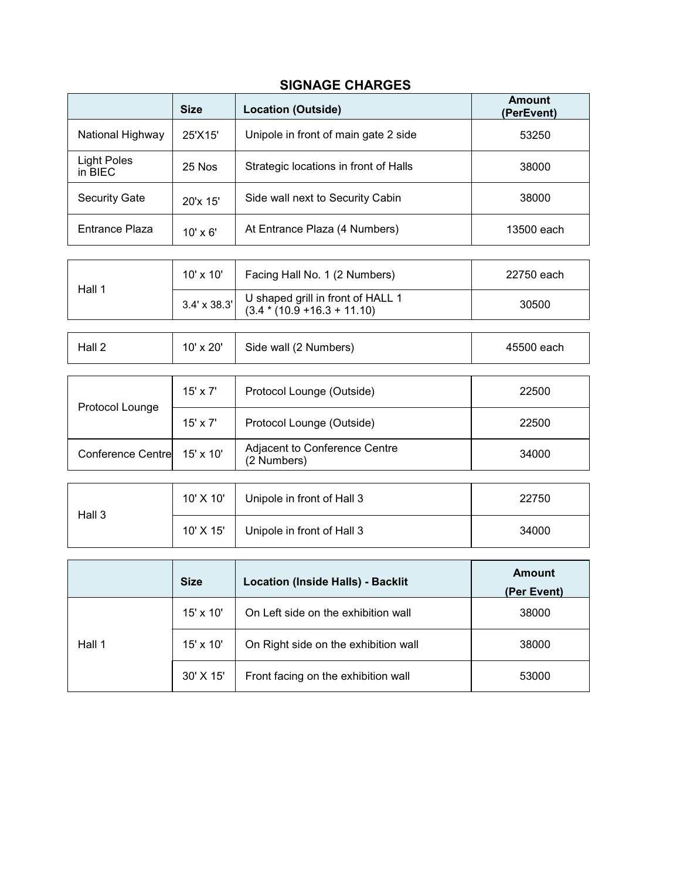# **SIGNAGE CHARGES**

|                                   | <b>Size</b> | <b>Location (Outside)</b>             | Amount<br>(PerEvent) |
|-----------------------------------|-------------|---------------------------------------|----------------------|
| National Highway                  | 25'X15'     | Unipole in front of main gate 2 side  | 53250                |
| Light Poles<br>in BIEC            | 25 Nos      | Strategic locations in front of Halls | 38000                |
| <b>Security Gate</b>              | 20'x 15'    | Side wall next to Security Cabin      | 38000                |
| Entrance Plaza<br>$10' \times 6'$ |             | At Entrance Plaza (4 Numbers)         | 13500 each           |

| Hall 1 | $10' \times 10'$ | Facing Hall No. 1 (2 Numbers)                                                                                                               | 22750 each |
|--------|------------------|---------------------------------------------------------------------------------------------------------------------------------------------|------------|
|        |                  | $\begin{array}{ c c c c c }\n 3.4' \times 38.3' & \text{U shaped girl in front of HALL 1} \\ & (3.4 * (10.9 + 16.3 + 11.10)) & \end{array}$ | 30500      |

| Hall 2 | 10' x 20' | Side wall (2 Numbers) | 45500 each |
|--------|-----------|-----------------------|------------|
|--------|-----------|-----------------------|------------|

| Protocol Lounge   | $15' \times 7'$ | Protocol Lounge (Outside)                    | 22500 |
|-------------------|-----------------|----------------------------------------------|-------|
|                   | $15' \times 7'$ | Protocol Lounge (Outside)                    | 22500 |
| Conference Centre | 15' x 10'       | Adjacent to Conference Centre<br>(2 Numbers) | 34000 |

| Hall 3 | $10'$ X $10'$ | Unipole in front of Hall 3 | 22750 |
|--------|---------------|----------------------------|-------|
|        | 10' X 15'     | Unipole in front of Hall 3 | 34000 |

|        | <b>Size</b>      | <b>Location (Inside Halls) - Backlit</b> | Amount<br>(Per Event) |
|--------|------------------|------------------------------------------|-----------------------|
| Hall 1 | $15' \times 10'$ | On Left side on the exhibition wall      | 38000                 |
|        | $15' \times 10'$ | On Right side on the exhibition wall     | 38000                 |
|        | $30'$ X $15'$    | Front facing on the exhibition wall      | 53000                 |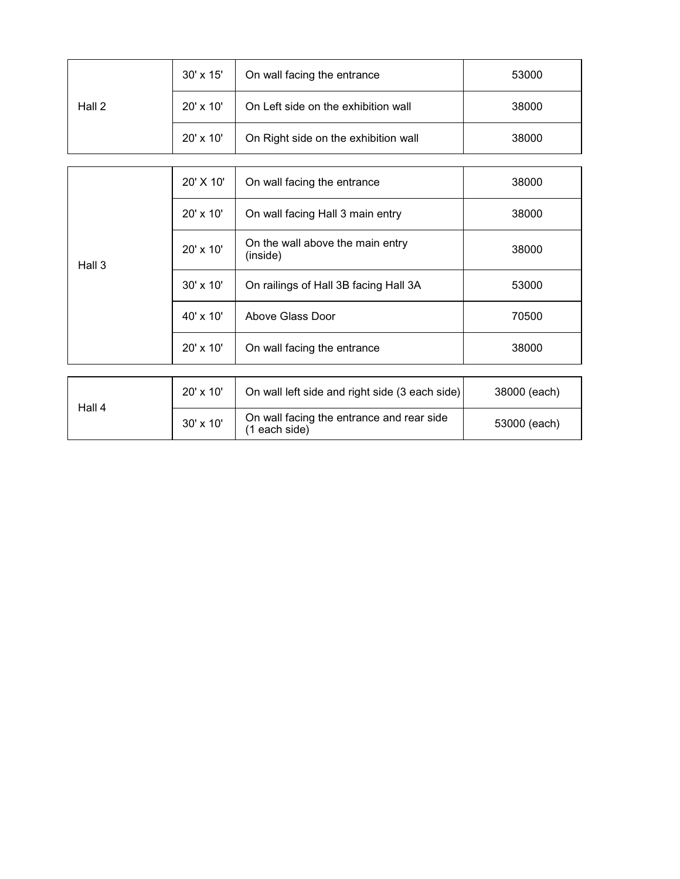|        | $30' \times 15'$ | On wall facing the entrance          | 53000 |
|--------|------------------|--------------------------------------|-------|
| Hall 2 | $20' \times 10'$ | On Left side on the exhibition wall  | 38000 |
|        | $20' \times 10'$ | On Right side on the exhibition wall | 38000 |

| Hall 3 | 20' X 10'        | On wall facing the entrance                  | 38000 |
|--------|------------------|----------------------------------------------|-------|
|        | $20' \times 10'$ | On wall facing Hall 3 main entry             | 38000 |
|        | 20' x 10'        | On the wall above the main entry<br>(inside) | 38000 |
|        | $30' \times 10'$ | On railings of Hall 3B facing Hall 3A        | 53000 |
|        | $40' \times 10'$ | Above Glass Door                             | 70500 |
|        | $20' \times 10'$ | On wall facing the entrance                  | 38000 |

| Hall 4 | 20' x 10' | On wall left side and right side (3 each side)          | 38000 (each) |
|--------|-----------|---------------------------------------------------------|--------------|
|        | 30' x 10' | On wall facing the entrance and rear side<br>each side) | 53000 (each) |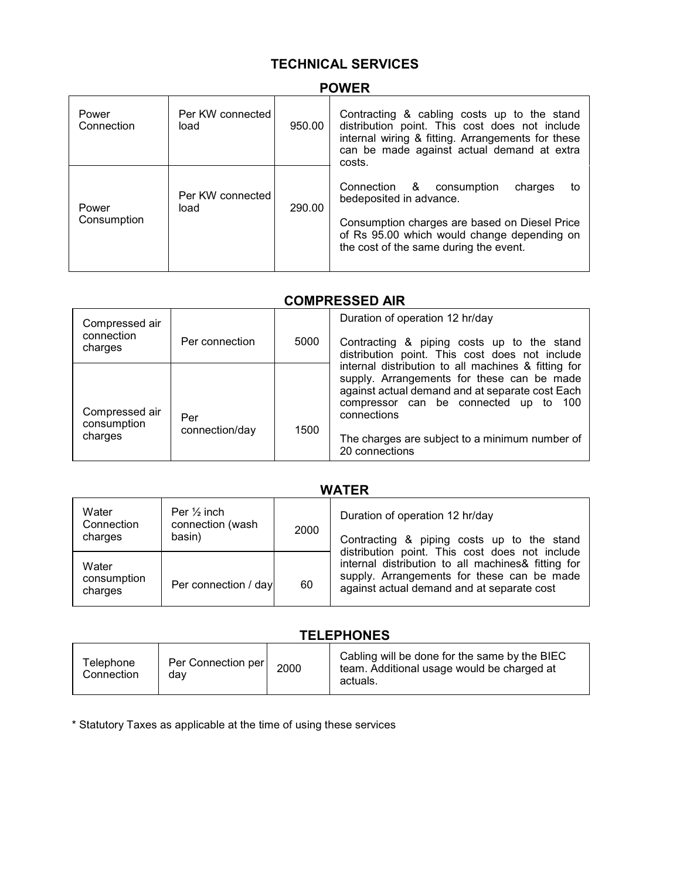# **TECHNICAL SERVICES**

# **POWER**

| Power<br>Connection  | Per KW connected<br>load | 950.00 | Contracting & cabling costs up to the stand<br>distribution point. This cost does not include<br>internal wiring & fitting. Arrangements for these<br>can be made against actual demand at extra<br>costs.        |
|----------------------|--------------------------|--------|-------------------------------------------------------------------------------------------------------------------------------------------------------------------------------------------------------------------|
| Power<br>Consumption | Per KW connected<br>load | 290.00 | Connection &<br>consumption<br>charges<br>to<br>bedeposited in advance.<br>Consumption charges are based on Diesel Price<br>of Rs 95.00 which would change depending on<br>the cost of the same during the event. |

### **COMPRESSED AIR**

| Compressed air                           |                       |      | Duration of operation 12 hr/day                                                                                                                                                                                                                                                  |
|------------------------------------------|-----------------------|------|----------------------------------------------------------------------------------------------------------------------------------------------------------------------------------------------------------------------------------------------------------------------------------|
| connection<br>charges                    | Per connection        | 5000 | Contracting & piping costs up to the stand<br>distribution point. This cost does not include                                                                                                                                                                                     |
| Compressed air<br>consumption<br>charges | Per<br>connection/day | 1500 | internal distribution to all machines & fitting for<br>supply. Arrangements for these can be made<br>against actual demand and at separate cost Each<br>compressor can be connected up to 100<br>connections<br>The charges are subject to a minimum number of<br>20 connections |

## **WATER**

| Water<br>Connection<br>charges  | Per $\frac{1}{2}$ inch<br>connection (wash<br>basin) | 2000 | Duration of operation 12 hr/day<br>Contracting & piping costs up to the stand                                                                                                                    |
|---------------------------------|------------------------------------------------------|------|--------------------------------------------------------------------------------------------------------------------------------------------------------------------------------------------------|
| Water<br>consumption<br>charges | Per connection / day                                 | 60   | distribution point. This cost does not include<br>internal distribution to all machines& fitting for<br>supply. Arrangements for these can be made<br>against actual demand and at separate cost |

## **TELEPHONES**

| ⊺elephone<br>Connection | Per Connection per<br>dav | 2000 | Cabling will be done for the same by the BIEC<br>team. Additional usage would be charged at<br>actuals. |
|-------------------------|---------------------------|------|---------------------------------------------------------------------------------------------------------|
|-------------------------|---------------------------|------|---------------------------------------------------------------------------------------------------------|

\* Statutory Taxes as applicable at the time of using these services